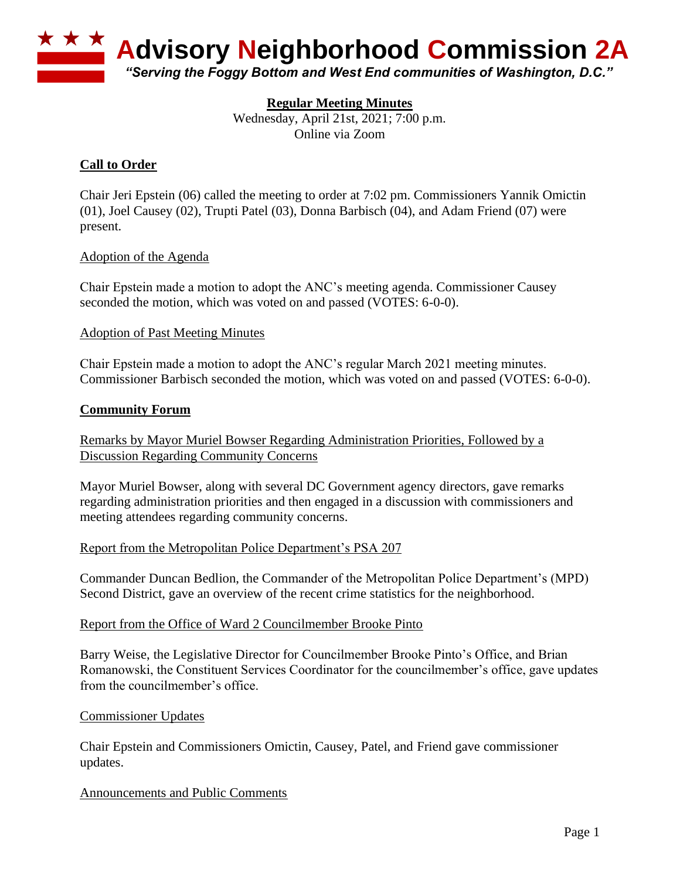

## **Regular Meeting Minutes**

Wednesday, April 21st, 2021; 7:00 p.m. Online via Zoom

## **Call to Order**

Chair Jeri Epstein (06) called the meeting to order at 7:02 pm. Commissioners Yannik Omictin (01), Joel Causey (02), Trupti Patel (03), Donna Barbisch (04), and Adam Friend (07) were present.

#### Adoption of the Agenda

Chair Epstein made a motion to adopt the ANC's meeting agenda. Commissioner Causey seconded the motion, which was voted on and passed (VOTES: 6-0-0).

#### Adoption of Past Meeting Minutes

Chair Epstein made a motion to adopt the ANC's regular March 2021 meeting minutes. Commissioner Barbisch seconded the motion, which was voted on and passed (VOTES: 6-0-0).

#### **Community Forum**

Remarks by Mayor Muriel Bowser Regarding Administration Priorities, Followed by a Discussion Regarding Community Concerns

Mayor Muriel Bowser, along with several DC Government agency directors, gave remarks regarding administration priorities and then engaged in a discussion with commissioners and meeting attendees regarding community concerns.

### Report from the Metropolitan Police Department's PSA 207

Commander Duncan Bedlion, the Commander of the Metropolitan Police Department's (MPD) Second District, gave an overview of the recent crime statistics for the neighborhood.

#### Report from the Office of Ward 2 Councilmember Brooke Pinto

Barry Weise, the Legislative Director for Councilmember Brooke Pinto's Office, and Brian Romanowski, the Constituent Services Coordinator for the councilmember's office, gave updates from the councilmember's office.

#### Commissioner Updates

Chair Epstein and Commissioners Omictin, Causey, Patel, and Friend gave commissioner updates.

### Announcements and Public Comments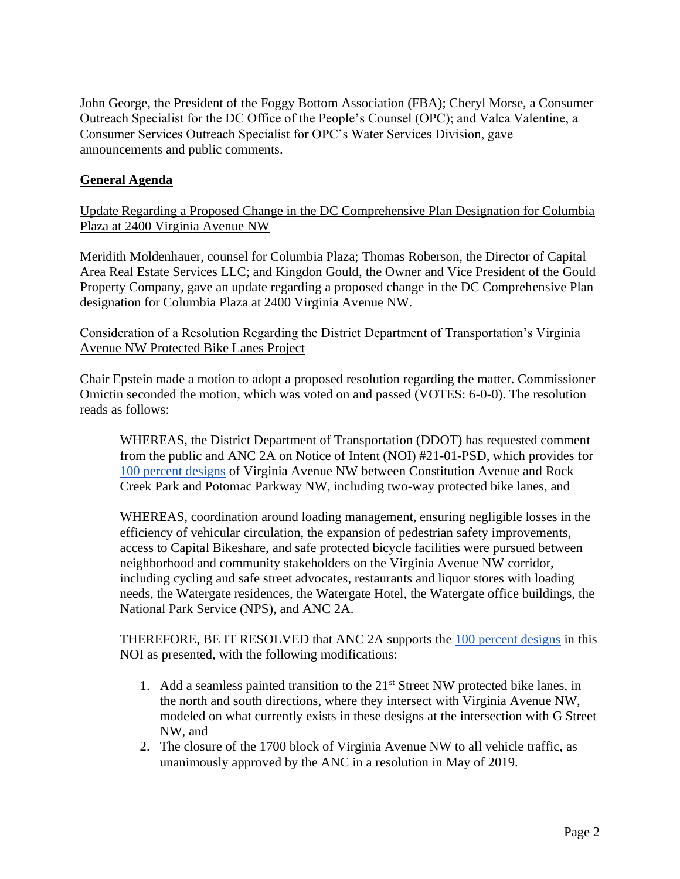John George, the President of the Foggy Bottom Association (FBA); Cheryl Morse, a Consumer Outreach Specialist for the DC Office of the People's Counsel (OPC); and Valca Valentine, a Consumer Services Outreach Specialist for OPC's Water Services Division, gave announcements and public comments.

# **General Agenda**

Update Regarding a Proposed Change in the DC Comprehensive Plan Designation for Columbia Plaza at 2400 Virginia Avenue NW

Meridith Moldenhauer, counsel for Columbia Plaza; Thomas Roberson, the Director of Capital Area Real Estate Services LLC; and Kingdon Gould, the Owner and Vice President of the Gould Property Company, gave an update regarding a proposed change in the DC Comprehensive Plan designation for Columbia Plaza at 2400 Virginia Avenue NW.

Consideration of a Resolution Regarding the District Department of Transportation's Virginia Avenue NW Protected Bike Lanes Project

Chair Epstein made a motion to adopt a proposed resolution regarding the matter. Commissioner Omictin seconded the motion, which was voted on and passed (VOTES: 6-0-0). The resolution reads as follows:

WHEREAS, the District Department of Transportation (DDOT) has requested comment from the public and ANC 2A on Notice of Intent (NOI) #21-01-PSD, which provides fo[r](https://wiki.ddot.dc.gov/download/attachments/111150688/Virginia-Ave-PBL_100-Percent_21-03-30.pdf?api=v2) [100 percent designs](https://wiki.ddot.dc.gov/download/attachments/111150688/Virginia-Ave-PBL_100-Percent_21-03-30.pdf?api=v2) of Virginia Avenue NW between Constitution Avenue and Rock Creek Park and Potomac Parkway NW, including two-way protected bike lanes, and

WHEREAS, coordination around loading management, ensuring negligible losses in the efficiency of vehicular circulation, the expansion of pedestrian safety improvements, access to Capital Bikeshare, and safe protected bicycle facilities were pursued between neighborhood and community stakeholders on the Virginia Avenue NW corridor, including cycling and safe street advocates, restaurants and liquor stores with loading needs, the Watergate residences, the Watergate Hotel, the Watergate office buildings, the National Park Service (NPS), and ANC 2A.

THEREFORE, BE IT RESOLVED that ANC 2A supports the [100 percent designs](https://wiki.ddot.dc.gov/download/attachments/111150688/Virginia-Ave-PBL_100-Percent_21-03-30.pdf?api=v2) in this NOI as presented, with the following modifications:

- 1. Add a seamless painted transition to the 21<sup>st</sup> Street NW protected bike lanes, in the north and south directions, where they intersect with Virginia Avenue NW, modeled on what currently exists in these designs at the intersection with G Street NW, and
- 2. The closure of the 1700 block of Virginia Avenue NW to all vehicle traffic, as unanimously approved by the ANC in a resolution in May of 2019.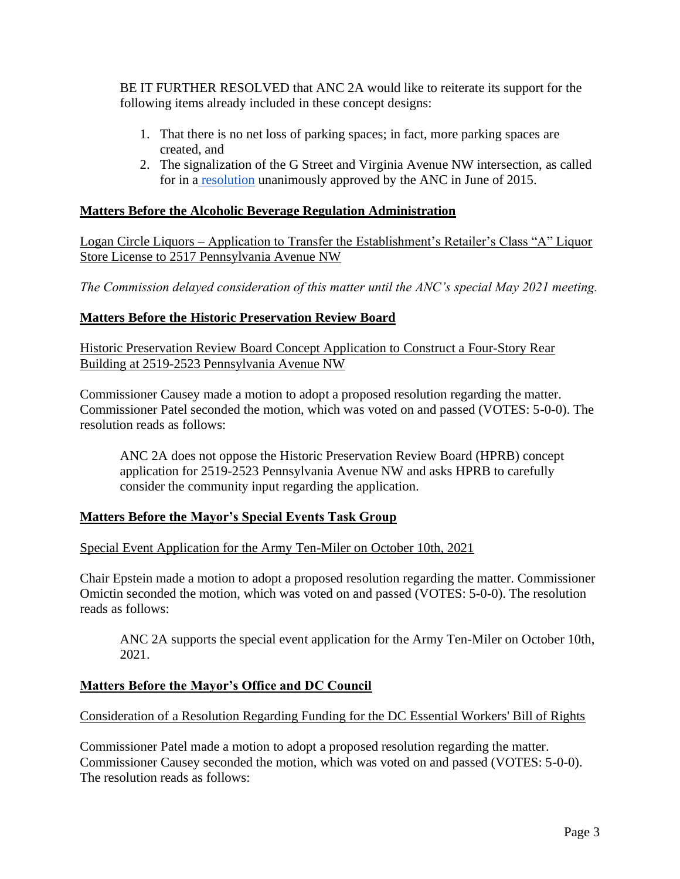BE IT FURTHER RESOLVED that ANC 2A would like to reiterate its support for the following items already included in these concept designs:

- 1. That there is no net loss of parking spaces; in fact, more parking spaces are created, and
- 2. The signalization of the G Street and Virginia Avenue NW intersection, as called for in a [resolution](https://bd464bcc-f588-48fb-8882-8d70c4a297c7.filesusr.com/ugd/554760_25a851927e5c47a6a8fb461340f5e3ba.pdf) unanimously approved by the ANC in June of 2015.

## **Matters Before the Alcoholic Beverage Regulation Administration**

Logan Circle Liquors – Application to Transfer the Establishment's Retailer's Class "A" Liquor Store License to 2517 Pennsylvania Avenue NW

*The Commission delayed consideration of this matter until the ANC's special May 2021 meeting.*

## **Matters Before the Historic Preservation Review Board**

Historic Preservation Review Board Concept Application to Construct a Four-Story Rear Building at 2519-2523 Pennsylvania Avenue NW

Commissioner Causey made a motion to adopt a proposed resolution regarding the matter. Commissioner Patel seconded the motion, which was voted on and passed (VOTES: 5-0-0). The resolution reads as follows:

ANC 2A does not oppose the Historic Preservation Review Board (HPRB) concept application for 2519-2523 Pennsylvania Avenue NW and asks HPRB to carefully consider the community input regarding the application.

# **Matters Before the Mayor's Special Events Task Group**

Special Event Application for the Army Ten-Miler on October 10th, 2021

Chair Epstein made a motion to adopt a proposed resolution regarding the matter. Commissioner Omictin seconded the motion, which was voted on and passed (VOTES: 5-0-0). The resolution reads as follows:

ANC 2A supports the special event application for the Army Ten-Miler on October 10th, 2021.

### **Matters Before the Mayor's Office and DC Council**

Consideration of a Resolution Regarding Funding for the DC Essential Workers' Bill of Rights

Commissioner Patel made a motion to adopt a proposed resolution regarding the matter. Commissioner Causey seconded the motion, which was voted on and passed (VOTES: 5-0-0). The resolution reads as follows: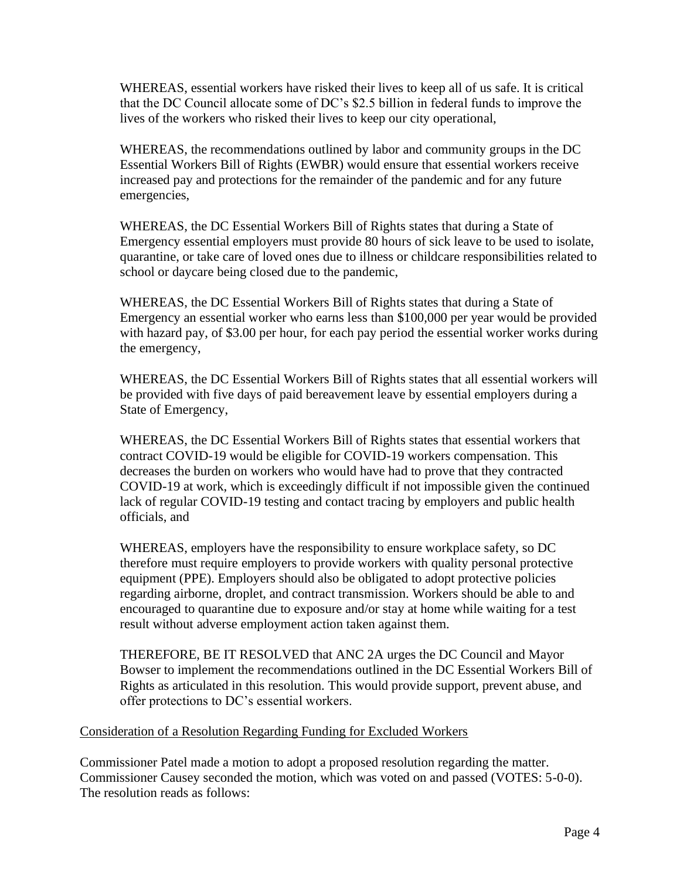WHEREAS, essential workers have risked their lives to keep all of us safe. It is critical that the DC Council allocate some of DC's \$2.5 billion in federal funds to improve the lives of the workers who risked their lives to keep our city operational,

WHEREAS, the recommendations outlined by labor and community groups in the DC Essential Workers Bill of Rights (EWBR) would ensure that essential workers receive increased pay and protections for the remainder of the pandemic and for any future emergencies,

WHEREAS, the DC Essential Workers Bill of Rights states that during a State of Emergency essential employers must provide 80 hours of sick leave to be used to isolate, quarantine, or take care of loved ones due to illness or childcare responsibilities related to school or daycare being closed due to the pandemic,

WHEREAS, the DC Essential Workers Bill of Rights states that during a State of Emergency an essential worker who earns less than \$100,000 per year would be provided with hazard pay, of \$3.00 per hour, for each pay period the essential worker works during the emergency,

WHEREAS, the DC Essential Workers Bill of Rights states that all essential workers will be provided with five days of paid bereavement leave by essential employers during a State of Emergency,

WHEREAS, the DC Essential Workers Bill of Rights states that essential workers that contract COVID-19 would be eligible for COVID-19 workers compensation. This decreases the burden on workers who would have had to prove that they contracted COVID-19 at work, which is exceedingly difficult if not impossible given the continued lack of regular COVID-19 testing and contact tracing by employers and public health officials, and

WHEREAS, employers have the responsibility to ensure workplace safety, so DC therefore must require employers to provide workers with quality personal protective equipment (PPE). Employers should also be obligated to adopt protective policies regarding airborne, droplet, and contract transmission. Workers should be able to and encouraged to quarantine due to exposure and/or stay at home while waiting for a test result without adverse employment action taken against them.

THEREFORE, BE IT RESOLVED that ANC 2A urges the DC Council and Mayor Bowser to implement the recommendations outlined in the DC Essential Workers Bill of Rights as articulated in this resolution. This would provide support, prevent abuse, and offer protections to DC's essential workers.

### Consideration of a Resolution Regarding Funding for Excluded Workers

Commissioner Patel made a motion to adopt a proposed resolution regarding the matter. Commissioner Causey seconded the motion, which was voted on and passed (VOTES: 5-0-0). The resolution reads as follows: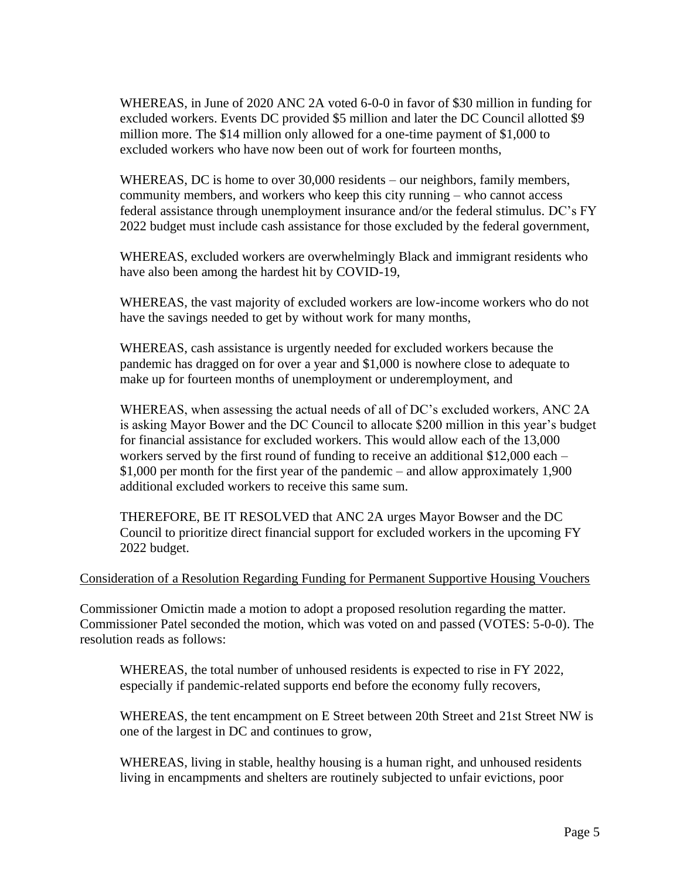WHEREAS, in June of 2020 ANC 2A voted 6-0-0 in favor of \$30 million in funding for excluded workers. Events DC provided \$5 million and later the DC Council allotted \$9 million more. The \$14 million only allowed for a one-time payment of \$1,000 to excluded workers who have now been out of work for fourteen months,

WHEREAS, DC is home to over 30,000 residents – our neighbors, family members, community members, and workers who keep this city running – who cannot access federal assistance through unemployment insurance and/or the federal stimulus. DC's FY 2022 budget must include cash assistance for those excluded by the federal government,

WHEREAS, excluded workers are overwhelmingly Black and immigrant residents who have also been among the hardest hit by COVID-19,

WHEREAS, the vast majority of excluded workers are low-income workers who do not have the savings needed to get by without work for many months,

WHEREAS, cash assistance is urgently needed for excluded workers because the pandemic has dragged on for over a year and \$1,000 is nowhere close to adequate to make up for fourteen months of unemployment or underemployment, and

WHEREAS, when assessing the actual needs of all of DC's excluded workers, ANC 2A is asking Mayor Bower and the DC Council to allocate \$200 million in this year's budget for financial assistance for excluded workers. This would allow each of the 13,000 workers served by the first round of funding to receive an additional \$12,000 each – \$1,000 per month for the first year of the pandemic – and allow approximately 1,900 additional excluded workers to receive this same sum.

THEREFORE, BE IT RESOLVED that ANC 2A urges Mayor Bowser and the DC Council to prioritize direct financial support for excluded workers in the upcoming FY 2022 budget.

### Consideration of a Resolution Regarding Funding for Permanent Supportive Housing Vouchers

Commissioner Omictin made a motion to adopt a proposed resolution regarding the matter. Commissioner Patel seconded the motion, which was voted on and passed (VOTES: 5-0-0). The resolution reads as follows:

WHEREAS, the total number of unhoused residents is expected to rise in FY 2022, especially if pandemic-related supports end before the economy fully recovers,

WHEREAS, the tent encampment on E Street between 20th Street and 21st Street NW is one of the largest in DC and continues to grow,

WHEREAS, living in stable, healthy housing is a human right, and unhoused residents living in encampments and shelters are routinely subjected to unfair evictions, poor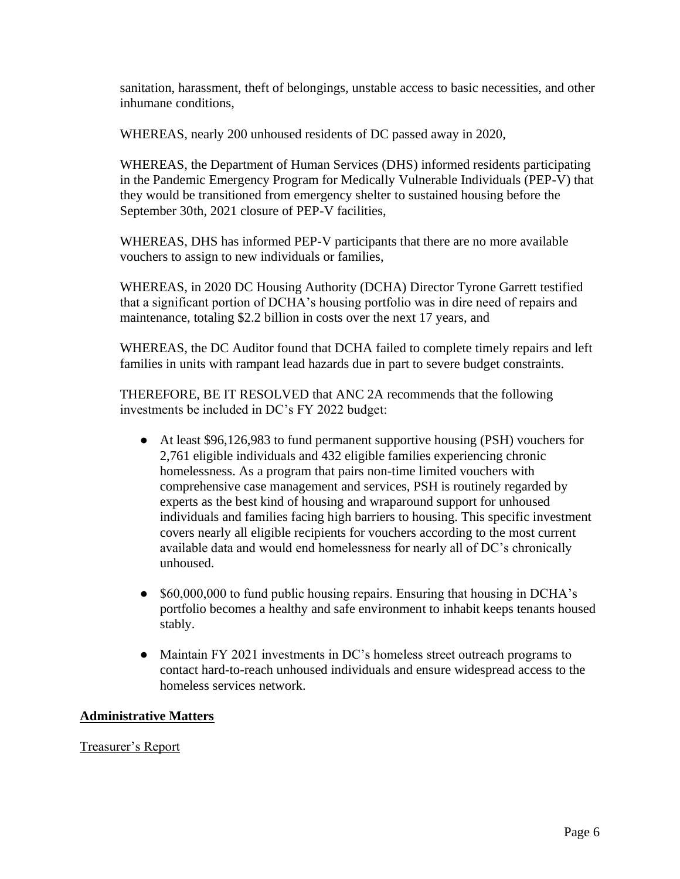sanitation, harassment, theft of belongings, unstable access to basic necessities, and other inhumane conditions,

WHEREAS, nearly 200 unhoused residents of DC passed away in 2020,

WHEREAS, the Department of Human Services (DHS) informed residents participating in the Pandemic Emergency Program for Medically Vulnerable Individuals (PEP-V) that they would be transitioned from emergency shelter to sustained housing before the September 30th, 2021 closure of PEP-V facilities,

WHEREAS, DHS has informed PEP-V participants that there are no more available vouchers to assign to new individuals or families,

WHEREAS, in 2020 DC Housing Authority (DCHA) Director Tyrone Garrett testified that a significant portion of DCHA's housing portfolio was in dire need of repairs and maintenance, totaling \$2.2 billion in costs over the next 17 years, and

WHEREAS, the DC Auditor found that DCHA failed to complete timely repairs and left families in units with rampant lead hazards due in part to severe budget constraints.

THEREFORE, BE IT RESOLVED that ANC 2A recommends that the following investments be included in DC's FY 2022 budget:

- At least \$96,126,983 to fund permanent supportive housing (PSH) vouchers for 2,761 eligible individuals and 432 eligible families experiencing chronic homelessness. As a program that pairs non-time limited vouchers with comprehensive case management and services, PSH is routinely regarded by experts as the best kind of housing and wraparound support for unhoused individuals and families facing high barriers to housing. This specific investment covers nearly all eligible recipients for vouchers according to the most current available data and would end homelessness for nearly all of DC's chronically unhoused.
- \$60,000,000 to fund public housing repairs. Ensuring that housing in DCHA's portfolio becomes a healthy and safe environment to inhabit keeps tenants housed stably.
- Maintain FY 2021 investments in DC's homeless street outreach programs to contact hard-to-reach unhoused individuals and ensure widespread access to the homeless services network.

# **Administrative Matters**

Treasurer's Report